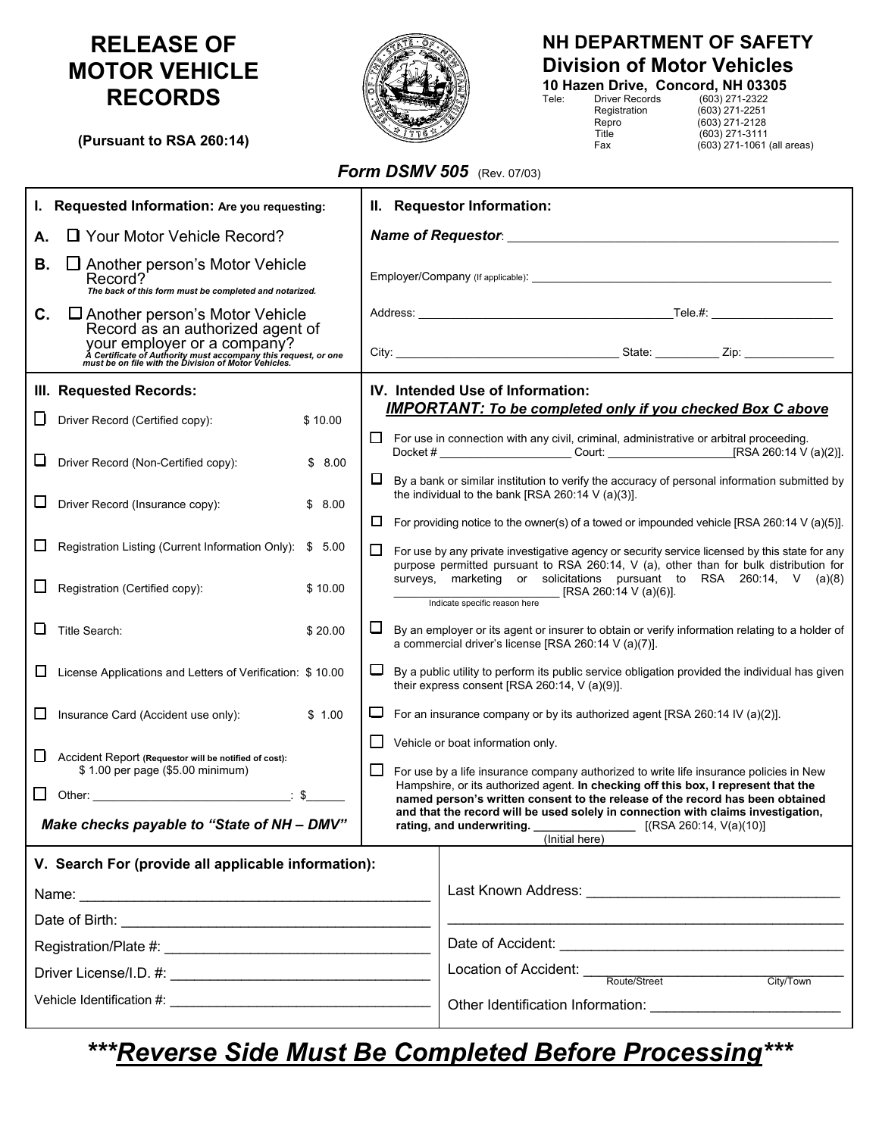# **RELEASE OF MOTOR VEHICLE RECORDS**

**(Pursuant to RSA 260:14)**

# $\mathcal{L}$  (603) 271-3111

## **NH DEPARTMENT OF SAFETY Division of Motor Vehicles 10 Hazen Drive, Concord, NH 03305**

Tele: Driver Records (603) 271-2322 Registration (603) 271-2251<br>Repro (603) 271-2128<br>Title (603) 271-3111

 $(603)$  271-2128 Fax (603) 271-1061 (all areas)

### *Form DSMV 505* (Rev. 07/03)

| I. Requested Information: Are you requesting:                                                                   |                                                                                                                                                                                                                                                                                                                                          | II. Requestor Information:            |    |                                                                                                                                                                                         |  |
|-----------------------------------------------------------------------------------------------------------------|------------------------------------------------------------------------------------------------------------------------------------------------------------------------------------------------------------------------------------------------------------------------------------------------------------------------------------------|---------------------------------------|----|-----------------------------------------------------------------------------------------------------------------------------------------------------------------------------------------|--|
| □ Your Motor Vehicle Record?<br>А.                                                                              |                                                                                                                                                                                                                                                                                                                                          | Name of Requestor: Name of Requestor: |    |                                                                                                                                                                                         |  |
| В.                                                                                                              | $\Box$ Another person's Motor Vehicle<br>Record?<br>The back of this form must be completed and notarized.                                                                                                                                                                                                                               |                                       |    |                                                                                                                                                                                         |  |
| C.                                                                                                              | $\Box$ Another person's Motor Vehicle<br>Record as an authorized agent of<br>YOUI <sup>T</sup> EMPIOYET OF A COMPANY?<br>A Certificate of Authority must accompany this request, or one<br>must be on file with the Division of Motor Vehicles.                                                                                          |                                       |    |                                                                                                                                                                                         |  |
|                                                                                                                 | III. Requested Records:                                                                                                                                                                                                                                                                                                                  |                                       |    | IV. Intended Use of Information:                                                                                                                                                        |  |
| ப                                                                                                               | Driver Record (Certified copy):                                                                                                                                                                                                                                                                                                          | \$10.00                               |    | <b>IMPORTANT: To be completed only if you checked Box C above</b><br>$\Box$ For use in connection with any civil, criminal, administrative or arbitral proceeding.                      |  |
| ப                                                                                                               | Driver Record (Non-Certified copy):                                                                                                                                                                                                                                                                                                      | \$8.00                                | ⊔. | By a bank or similar institution to verify the accuracy of personal information submitted by                                                                                            |  |
|                                                                                                                 | Driver Record (Insurance copy):                                                                                                                                                                                                                                                                                                          | \$8.00                                | ⊔  | the individual to the bank [RSA 260:14 V (a)(3)].<br>For providing notice to the owner(s) of a towed or impounded vehicle [RSA 260:14 V (a)(5)].                                        |  |
|                                                                                                                 | Registration Listing (Current Information Only): \$ 5.00                                                                                                                                                                                                                                                                                 |                                       | ⊔  | For use by any private investigative agency or security service licensed by this state for any<br>purpose permitted pursuant to RSA 260:14, V (a), other than for bulk distribution for |  |
| ப                                                                                                               | Registration (Certified copy):                                                                                                                                                                                                                                                                                                           | \$10.00                               |    | surveys, marketing or solicitations pursuant to RSA 260:14, V (a)(8)<br>[RSA 260:14 V (a)(6)].<br>Indicate specific reason here                                                         |  |
| ⊔                                                                                                               | Title Search:                                                                                                                                                                                                                                                                                                                            | \$20.00                               | ⊔  | By an employer or its agent or insurer to obtain or verify information relating to a holder of<br>a commercial driver's license [RSA 260:14 V (a)(7)].                                  |  |
| Ц                                                                                                               | License Applications and Letters of Verification: \$10.00                                                                                                                                                                                                                                                                                |                                       | □  | By a public utility to perform its public service obligation provided the individual has given<br>their express consent [RSA 260:14, $V$ (a)(9)].                                       |  |
| ப                                                                                                               | Insurance Card (Accident use only):                                                                                                                                                                                                                                                                                                      | \$1.00                                | ◡  | For an insurance company or by its authorized agent [RSA 260:14 IV (a)(2)].                                                                                                             |  |
| □                                                                                                               | Accident Report (Requestor will be notified of cost):<br>\$1.00 per page (\$5.00 minimum)                                                                                                                                                                                                                                                |                                       | ⊔  | Vehicle or boat information only.<br>For use by a life insurance company authorized to write life insurance policies in New                                                             |  |
| $\Box$                                                                                                          | Other: $\qquad \qquad$ $\qquad$ $\qquad$ $\qquad$ $\qquad$ $\qquad$ $\qquad$ $\qquad$ $\qquad$ $\qquad$ $\qquad$ $\qquad$ $\qquad$ $\qquad$ $\qquad$ $\qquad$ $\qquad$ $\qquad$ $\qquad$ $\qquad$ $\qquad$ $\qquad$ $\qquad$ $\qquad$ $\qquad$ $\qquad$ $\qquad$ $\qquad$ $\qquad$ $\qquad$ $\qquad$ $\qquad$ $\qquad$ $\qquad$ $\qquad$ |                                       |    | Hampshire, or its authorized agent. In checking off this box, I represent that the<br>named person's written consent to the release of the record has been obtained                     |  |
|                                                                                                                 | Make checks payable to "State of NH - DMV"                                                                                                                                                                                                                                                                                               |                                       |    | and that the record will be used solely in connection with claims investigation,<br>rating, and underwriting. ___________________ [(RSA 260:14, V(a)(10)]<br>(Initial here)             |  |
|                                                                                                                 | V. Search For (provide all applicable information):                                                                                                                                                                                                                                                                                      |                                       |    |                                                                                                                                                                                         |  |
|                                                                                                                 |                                                                                                                                                                                                                                                                                                                                          |                                       |    |                                                                                                                                                                                         |  |
|                                                                                                                 |                                                                                                                                                                                                                                                                                                                                          |                                       |    |                                                                                                                                                                                         |  |
|                                                                                                                 |                                                                                                                                                                                                                                                                                                                                          |                                       |    |                                                                                                                                                                                         |  |
|                                                                                                                 |                                                                                                                                                                                                                                                                                                                                          |                                       |    | Location of Accident: Noute/Street<br>City/Town                                                                                                                                         |  |
| Vehicle Identification #: Website Services and American control of the Services of the Services of the Services |                                                                                                                                                                                                                                                                                                                                          |                                       |    |                                                                                                                                                                                         |  |

*\*\*\*Reverse Side Must Be Completed Before Processing\*\*\**